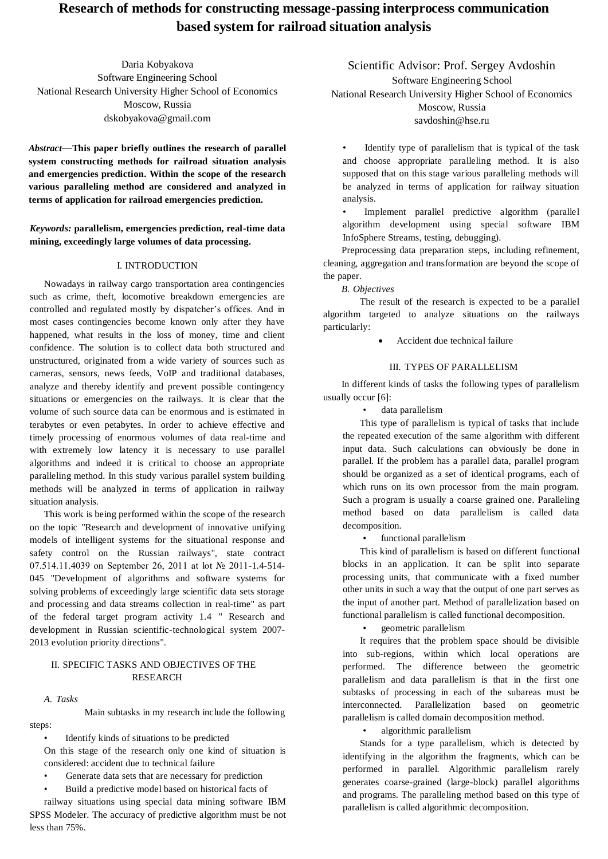# **Research of methods for constructing message-passing interprocess communication based system for railroad situation analysis**

Daria Kobyakova Software Engineering School National Research University Higher School of Economics Moscow, Russia dskobyakova@gmail.com

*Abstract*—**This paper briefly outlines the research of parallel system constructing methods for railroad situation analysis and emergencies prediction. Within the scope of the research various paralleling method are considered and analyzed in terms of application for railroad emergencies prediction.** 

*Keywords:* **parallelism, emergencies prediction, real-time data mining, exceedingly large volumes of data processing.**

# I. INTRODUCTION

Nowadays in railway cargo transportation area contingencies such as crime, theft, locomotive breakdown emergencies are controlled and regulated mostly by dispatcher's offices. And in most cases contingencies become known only after they have happened, what results in the loss of money, time and client confidence. The solution is to collect data both structured and unstructured, originated from a wide variety of sources such as cameras, sensors, news feeds, VoIP and traditional databases, analyze and thereby identify and prevent possible contingency situations or emergencies on the railways. It is clear that the volume of such source data can be enormous and is estimated in terabytes or even petabytes. In order to achieve effective and timely processing of enormous volumes of data real-time and with extremely low latency it is necessary to use parallel algorithms and indeed it is critical to choose an appropriate paralleling method. In this study various parallel system building methods will be analyzed in terms of application in railway situation analysis.

This work is being performed within the scope of the research on the topic "Research and development of innovative unifying models of intelligent systems for the situational response and safety control on the Russian railways", state contract 07.514.11.4039 on September 26, 2011 at lot № 2011-1.4-514- 045 "Development of algorithms and software systems for solving problems of exceedingly large scientific data sets storage and processing and data streams collection in real-time" as part of the federal target program activity 1.4 " Research and development in Russian scientific-technological system 2007- 2013 evolution priority directions".

# II. SPECIFIC TASKS AND OBJECTIVES OF THE RESEARCH

*A. Tasks*

Main subtasks in my research include the following steps:

Identify kinds of situations to be predicted

On this stage of the research only one kind of situation is considered: accident due to technical failure

Generate data sets that are necessary for prediction

• Build a predictive model based on historical facts of

railway situations using special data mining software IBM SPSS Modeler. The accuracy of predictive algorithm must be not less than 75%.

Scientific Advisor: Prof. Sergey Avdoshin Software Engineering School National Research University Higher School of Economics Moscow, Russia

savdoshin@hse.ru

• Identify type of parallelism that is typical of the task and choose appropriate paralleling method. It is also supposed that on this stage various paralleling methods will be analyzed in terms of application for railway situation analysis.

• Implement parallel predictive algorithm (parallel algorithm development using special software IBM InfoSphere Streams, testing, debugging).

Preprocessing data preparation steps, including refinement, cleaning, aggregation and transformation are beyond the scope of the paper.

*B. Objectives*

The result of the research is expected to be a parallel algorithm targeted to analyze situations on the railways particularly:

Accident due technical failure

# III. TYPES OF PARALLELISM

In different kinds of tasks the following types of parallelism usually occur [6]:

data parallelism

This type of parallelism is typical of tasks that include the repeated execution of the same algorithm with different input data. Such calculations can obviously be done in parallel. If the problem has a parallel data, parallel program should be organized as a set of identical programs, each of which runs on its own processor from the main program. Such a program is usually a coarse grained one. Paralleling method based on data parallelism is called data decomposition.

• functional parallelism

This kind of parallelism is based on different functional blocks in an application. It can be split into separate processing units, that communicate with a fixed number other units in such a way that the output of one part serves as the input of another part. Method of parallelization based on functional parallelism is called functional decomposition.

• geometric parallelism

It requires that the problem space should be divisible into sub-regions, within which local operations are performed. The difference between the geometric parallelism and data parallelism is that in the first one subtasks of processing in each of the subareas must be interconnected. Parallelization based on geometric parallelism is called domain decomposition method.

algorithmic parallelism

Stands for a type parallelism, which is detected by identifying in the algorithm the fragments, which can be performed in parallel. Algorithmic parallelism rarely generates coarse-grained (large-block) parallel algorithms and programs. The paralleling method based on this type of parallelism is called algorithmic decomposition.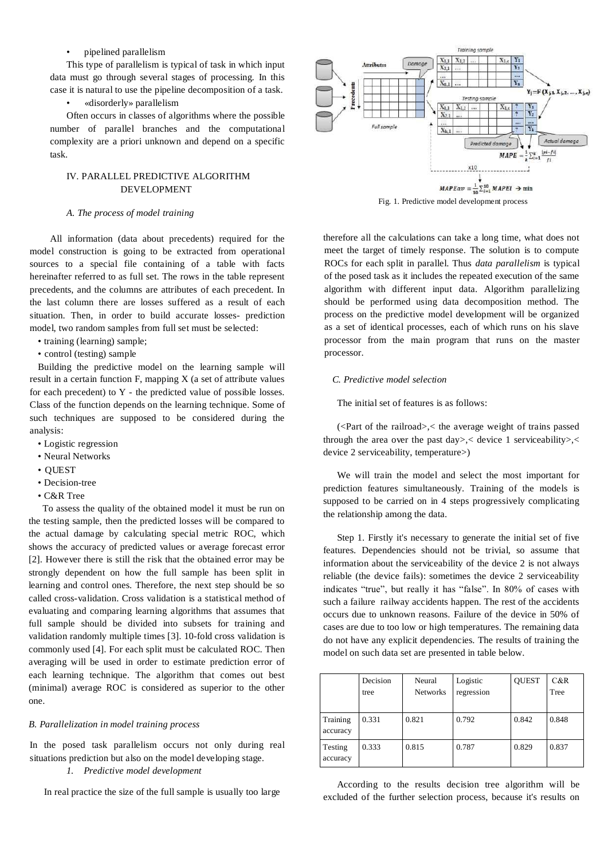#### • pipelined parallelism

This type of parallelism is typical of task in which input data must go through several stages of processing. In this case it is natural to use the pipeline decomposition of a task.

# • «disorderly» parallelism

Often occurs in classes of algorithms where the possible number of parallel branches and the computational complexity are a priori unknown and depend on a specific task.

# IV. PARALLEL PREDICTIVE ALGORITHM DEVELOPMENT

### *A. The process of model training*

All information (data about precedents) required for the model construction is going to be extracted from operational sources to a special file containing of a table with facts hereinafter referred to as full set. The rows in the table represent precedents, and the columns are attributes of each precedent. In the last column there are losses suffered as a result of each situation. Then, in order to build accurate losses- prediction model, two random samples from full set must be selected:

- training (learning) sample;
- control (testing) sample

Building the predictive model on the learning sample will result in a certain function F, mapping X (a set of attribute values for each precedent) to Y - the predicted value of possible losses. Class of the function depends on the learning technique. Some of such techniques are supposed to be considered during the analysis:

- Logistic regression
- Neural Networks
- QUEST
- Decision-tree
- C&R Tree

To assess the quality of the obtained model it must be run on the testing sample, then the predicted losses will be compared to the actual damage by calculating special metric ROC, which shows the accuracy of predicted values or average forecast error [2]. However there is still the risk that the obtained error may be strongly dependent on how the full sample has been split in learning and control ones. Therefore, the next step should be so called cross-validation. Cross validation is a statistical method of evaluating and comparing learning algorithms that assumes that full sample should be divided into subsets for training and validation randomly multiple times [3]. 10-fold cross validation is commonly used [4]. For each split must be calculated ROC. Then averaging will be used in order to estimate prediction error of each learning technique. The algorithm that comes out best (minimal) average ROC is considered as superior to the other one.

#### *B. Parallelization in model training process*

In the posed task parallelism occurs not only during real situations prediction but also on the model developing stage.

# *1. Predictive model development*

In real practice the size of the full sample is usually too large



therefore all the calculations can take a long time, what does not meet the target of timely response. The solution is to compute ROCs for each split in parallel. Thus *data parallelism* is typical of the posed task as it includes the repeated execution of the same algorithm with different input data. Algorithm parallelizing should be performed using data decomposition method. The process on the predictive model development will be organized as a set of identical processes, each of which runs on his slave processor from the main program that runs on the master processor.

### *C. Predictive model selection*

The initial set of features is as follows:

(<Part of the railroad>,< the average weight of trains passed through the area over the past day>,< device 1 serviceability>,< device 2 serviceability, temperature>)

We will train the model and select the most important for prediction features simultaneously. Training of the models is supposed to be carried on in 4 steps progressively complicating the relationship among the data.

Step 1. Firstly it's necessary to generate the initial set of five features. Dependencies should not be trivial, so assume that information about the serviceability of the device 2 is not always reliable (the device fails): sometimes the device 2 serviceability indicates "true", but really it has "false". In 80% of cases with such a failure railway accidents happen. The rest of the accidents occurs due to unknown reasons. Failure of the device in 50% of cases are due to too low or high temperatures. The remaining data do not have any explicit dependencies. The results of training the model on such data set are presented in table below.

|                      | Decision<br>tree | Neural<br><b>Networks</b> | Logistic<br>regression | <b>OUEST</b> | C&R<br>Tree |
|----------------------|------------------|---------------------------|------------------------|--------------|-------------|
| Training<br>accuracy | 0.331            | 0.821                     | 0.792                  | 0.842        | 0.848       |
| Testing<br>accuracy  | 0.333            | 0.815                     | 0.787                  | 0.829        | 0.837       |

According to the results decision tree algorithm will be excluded of the further selection process, because it's results on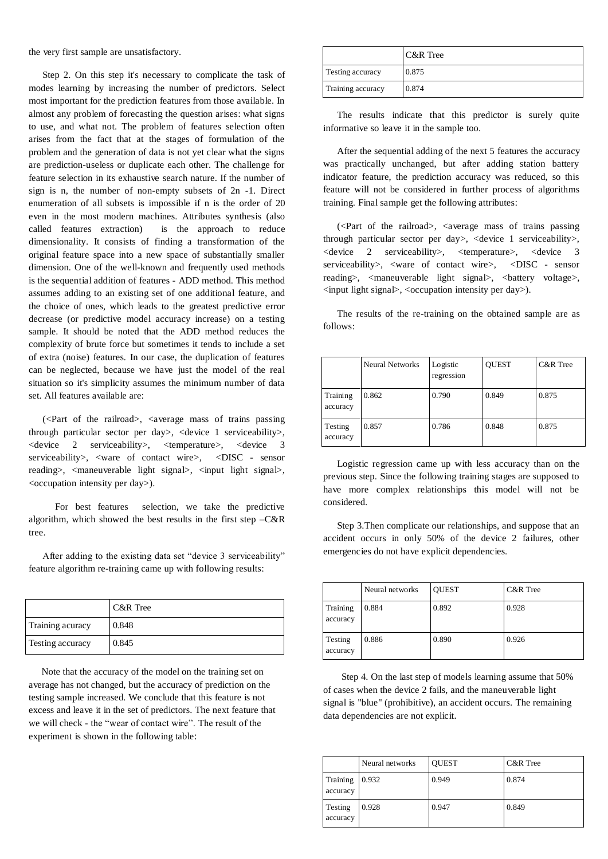the very first sample are unsatisfactory.

Step 2. On this step it's necessary to complicate the task of modes learning by increasing the number of predictors. Select most important for the prediction features from those available. In almost any problem of forecasting the question arises: what signs to use, and what not. The problem of features selection often arises from the fact that at the stages of formulation of the problem and the generation of data is not yet clear what the signs are prediction-useless or duplicate each other. The challenge for feature selection in its exhaustive search nature. If the number of sign is n, the number of non-empty subsets of 2n -1. Direct enumeration of all subsets is impossible if n is the order of 20 even in the most modern machines. Attributes synthesis (also called features extraction) is the approach to reduce dimensionality. It consists of finding a transformation of the original feature space into a new space of substantially smaller dimension. One of the well-known and frequently used methods is the sequential addition of features - ADD method. This method assumes adding to an existing set of one additional feature, and the choice of ones, which leads to the greatest predictive error decrease (or predictive model accuracy increase) on a testing sample. It should be noted that the ADD method reduces the complexity of brute force but sometimes it tends to include a set of extra (noise) features. In our case, the duplication of features can be neglected, because we have just the model of the real situation so it's simplicity assumes the minimum number of data set. All features available are:

 $\langle$  <Part of the railroad>, <average mass of trains passing through particular sector per day>, <device 1 serviceability>, <device 2 serviceability>, <temperature>, <device 3 serviceability>, <ware of contact wire>, <DISC - sensor reading>, <maneuverable light signal>, <input light signal>, <occupation intensity per day>).

 For best features selection, we take the predictive algorithm, which showed the best results in the first step –C&R tree.

After adding to the existing data set "device 3 serviceability" feature algorithm re-training came up with following results:

|                  | C&R Tree |
|------------------|----------|
| Training acuracy | 0.848    |
| Testing accuracy | 0.845    |

 Note that the accuracy of the model on the training set on average has not changed, but the accuracy of prediction on the testing sample increased. We conclude that this feature is not excess and leave it in the set of predictors. The next feature that we will check - the "wear of contact wire". The result of the experiment is shown in the following table:

|                   | C&R Tree |
|-------------------|----------|
| Testing accuracy  | 0.875    |
| Training accuracy | 0.874    |

The results indicate that this predictor is surely quite informative so leave it in the sample too.

After the sequential adding of the next 5 features the accuracy was practically unchanged, but after adding station battery indicator feature, the prediction accuracy was reduced, so this feature will not be considered in further process of algorithms training. Final sample get the following attributes:

 $\langle$  <Part of the railroad>,  $\langle$  average mass of trains passing through particular sector per day>, <device 1 serviceability>,  $\leq$  device 2 serviceability  $\lt$ ,  $\leq$  temperature  $\lt$ ,  $\leq$  device serviceability>, <ware of contact wire>, <DISC - sensor reading>, <maneuverable light signal>, <br/> <br/>battery voltage>, <input light signal>, <occupation intensity per day>).

The results of the re-training on the obtained sample are as follows:

|                      | <b>Neural Networks</b> | Logistic<br>regression | <b>QUEST</b> | C&R Tree |
|----------------------|------------------------|------------------------|--------------|----------|
| Training<br>accuracy | 0.862                  | 0.790                  | 0.849        | 0.875    |
| Testing<br>accuracy  | 0.857                  | 0.786                  | 0.848        | 0.875    |

Logistic regression came up with less accuracy than on the previous step. Since the following training stages are supposed to have more complex relationships this model will not be considered.

Step 3.Then complicate our relationships, and suppose that an accident occurs in only 50% of the device 2 failures, other emergencies do not have explicit dependencies.

|                      | Neural networks | <b>OUEST</b> | C&R Tree |
|----------------------|-----------------|--------------|----------|
| Training<br>accuracy | 0.884           | 0.892        | 0.928    |
| Testing<br>accuracy  | 0.886           | 0.890        | 0.926    |

Step 4. On the last step of models learning assume that 50% of cases when the device 2 fails, and the maneuverable light signal is "blue" (prohibitive), an accident occurs. The remaining data dependencies are not explicit.

|                      | Neural networks | <b>OUEST</b> | C&R Tree |
|----------------------|-----------------|--------------|----------|
| Training<br>accuracy | 0.932           | 0.949        | 0.874    |
| Testing<br>accuracy  | 0.928           | 0.947        | 0.849    |